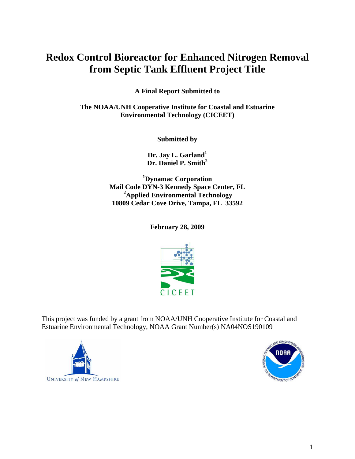# **Redox Control Bioreactor for Enhanced Nitrogen Removal from Septic Tank Effluent Project Title**

**A Final Report Submitted to** 

**The NOAA/UNH Cooperative Institute for Coastal and Estuarine Environmental Technology (CICEET)** 

**Submitted by** 

**Dr. Jay L. Garland1 Dr. Daniel P. Smith<sup>2</sup>** 

**1 Dynamac Corporation Mail Code DYN-3 Kennedy Space Center, FL 2Applied Environmental Technology 10809 Cedar Cove Drive, Tampa, FL 33592** 

**February 28, 2009** 



This project was funded by a grant from NOAA/UNH Cooperative Institute for Coastal and Estuarine Environmental Technology, NOAA Grant Number(s) NA04NOS190109



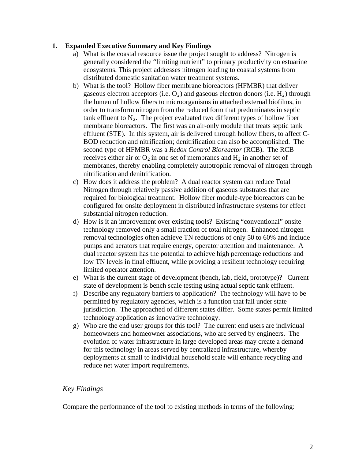## **1. Expanded Executive Summary and Key Findings**

- a) What is the coastal resource issue the project sought to address? Nitrogen is generally considered the "limiting nutrient" to primary productivity on estuarine ecosystems. This project addresses nitrogen loading to coastal systems from distributed domestic sanitation water treatment systems.
- b) What is the tool? Hollow fiber membrane bioreactors (HFMBR) that deliver gaseous electron acceptors (i.e.  $O_2$ ) and gaseous electron donors (i.e.  $H_2$ ) through the lumen of hollow fibers to microorganisms in attached external biofilms, in order to transform nitrogen from the reduced form that predominates in septic tank effluent to  $N_2$ . The project evaluated two different types of hollow fiber membrane bioreactors. The first was an air-only module that treats septic tank effluent (STE). In this system, air is delivered through hollow fibers, to affect C-BOD reduction and nitrification; denitrification can also be accomplished. The second type of HFMBR was a *Redox Control Bioreactor* (RCB). The RCB receives either air or  $O_2$  in one set of membranes and  $H_2$  in another set of membranes, thereby enabling completely autotrophic removal of nitrogen through nitrification and denitrification.
- c) How does it address the problem? A dual reactor system can reduce Total Nitrogen through relatively passive addition of gaseous substrates that are required for biological treatment. Hollow fiber module-type bioreactors can be configured for onsite deployment in distributed infrastructure systems for effect substantial nitrogen reduction.
- d) How is it an improvement over existing tools? Existing "conventional" onsite technology removed only a small fraction of total nitrogen. Enhanced nitrogen removal technologies often achieve TN reductions of only 50 to 60% and include pumps and aerators that require energy, operator attention and maintenance. A dual reactor system has the potential to achieve high percentage reductions and low TN levels in final effluent, while providing a resilient technology requiring limited operator attention.
- e) What is the current stage of development (bench, lab, field, prototype)? Current state of development is bench scale testing using actual septic tank effluent.
- f) Describe any regulatory barriers to application? The technology will have to be permitted by regulatory agencies, which is a function that fall under state jurisdiction. The approached of different states differ. Some states permit limited technology application as innovative technology.
- g) Who are the end user groups for this tool? The current end users are individual homeowners and homeowner associations, who are served by engineers. The evolution of water infrastructure in large developed areas may create a demand for this technology in areas served by centralized infrastructure, whereby deployments at small to individual household scale will enhance recycling and reduce net water import requirements.

# *Key Findings*

Compare the performance of the tool to existing methods in terms of the following: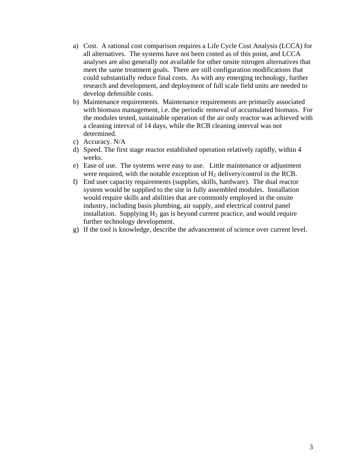- a) Cost. A rational cost comparison requires a Life Cycle Cost Analysis (LCCA) for all alternatives. The systems have not been costed as of this point, and LCCA analyses are also generally not available for other onsite nitrogen alternatives that meet the same treatment goals. There are still configuration modifications that could substantially reduce final costs. As with any emerging technology, further research and development, and deployment of full scale field units are needed to develop defensible costs.
- b) Maintenance requirements. Maintenance requirements are primarily associated with biomass management, i.e. the periodic removal of accumulated biomass. For the modules tested, sustainable operation of the air only reactor was achieved with a cleaning interval of 14 days, while the RCB cleaning interval was not determined.
- c) Accuracy. N/A
- d) Speed. The first stage reactor established operation relatively rapidly, within 4 weeks.
- e) Ease of use. The systems were easy to use. Little maintenance or adjustment were required, with the notable exception of  $H_2$  delivery/control in the RCB.
- f) End user capacity requirements (supplies, skills, hardware). The dual reactor system would be supplied to the site in fully assembled modules. Installation would require skills and abilities that are commonly employed in the onsite industry, including basis plumbing, air supply, and electrical control panel installation. Supplying  $H_2$  gas is beyond current practice, and would require further technology development.
- g) If the tool is knowledge, describe the advancement of science over current level.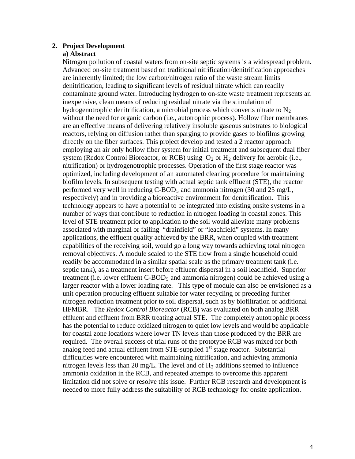## **2. Project Development**

## **a) Abstract**

Nitrogen pollution of coastal waters from on-site septic systems is a widespread problem. Advanced on-site treatment based on traditional nitrification/denitrification approaches are inherently limited; the low carbon/nitrogen ratio of the waste stream limits denitrification, leading to significant levels of residual nitrate which can readily contaminate ground water. Introducing hydrogen to on-site waste treatment represents an inexpensive, clean means of reducing residual nitrate via the stimulation of hydrogenotrophic denitrification, a microbial process which converts nitrate to  $N_2$ without the need for organic carbon (i.e., autotrophic process). Hollow fiber membranes are an effective means of delivering relatively insoluble gaseous substrates to biological reactors, relying on diffusion rather than sparging to provide gases to biofilms growing directly on the fiber surfaces. This project develop and tested a 2 reactor approach employing an air only hollow fiber system for initial treatment and subsequent dual fiber system (Redox Control Bioreactor, or RCB) using  $O_2$  or  $H_2$  delivery for aerobic (i.e., nitrification) or hydrogenotrophic processes. Operation of the first stage reactor was optimized, including development of an automated cleaning procedure for maintaining biofilm levels. In subsequent testing with actual septic tank effluent (STE), the reactor performed very well in reducing  $C-BOD_5$  and ammonia nitrogen (30 and 25 mg/L, respectively) and in providing a bioreactive environment for denitrification. This technology appears to have a potential to be integrated into existing onsite systems in a number of ways that contribute to reduction in nitrogen loading in coastal zones. This level of STE treatment prior to application to the soil would alleviate many problems associated with marginal or failing "drainfield" or "leachfield" systems. In many applications, the effluent quality achieved by the BRR, when coupled with treatment capabilities of the receiving soil, would go a long way towards achieving total nitrogen removal objectives. A module scaled to the STE flow from a single household could readily be accommodated in a similar spatial scale as the primary treatment tank (i.e. septic tank), as a treatment insert before effluent dispersal in a soil leachfield. Superior treatment (i.e. lower effluent  $C-BOD_5$  and ammonia nitrogen) could be achieved using a larger reactor with a lower loading rate. This type of module can also be envisioned as a unit operation producing effluent suitable for water recycling or preceding further nitrogen reduction treatment prior to soil dispersal, such as by biofiltration or additional HFMBR. The *Redox Control Bioreactor* (RCB) was evaluated on both analog BRR effluent and effluent from BRR treating actual STE. The completely autotrophic process has the potential to reduce oxidized nitrogen to quiet low levels and would be applicable for coastal zone locations where lower TN levels than those produced by the BRR are required. The overall success of trial runs of the prototype RCB was mixed for both analog feed and actual effluent from  $STE$ -supplied  $1<sup>st</sup>$  stage reactor. Substantial difficulties were encountered with maintaining nitrification, and achieving ammonia nitrogen levels less than 20 mg/L. The level and of  $H_2$  additions seemed to influence ammonia oxidation in the RCB, and repeated attempts to overcome this apparent limitation did not solve or resolve this issue. Further RCB research and development is needed to more fully address the suitability of RCB technology for onsite application.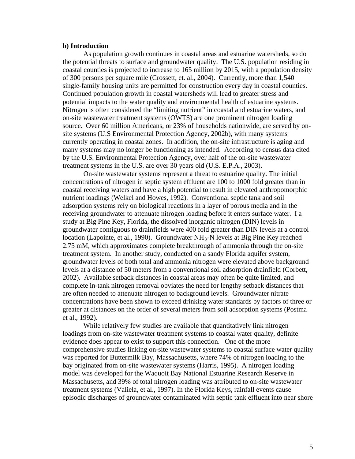#### **b) Introduction**

As population growth continues in coastal areas and estuarine watersheds, so do the potential threats to surface and groundwater quality. The U.S. population residing in coastal counties is projected to increase to 165 million by 2015, with a population density of 300 persons per square mile (Crossett, et. al., 2004). Currently, more than 1,540 single-family housing units are permitted for construction every day in coastal counties. Continued population growth in coastal watersheds will lead to greater stress and potential impacts to the water quality and environmental health of estuarine systems. Nitrogen is often considered the "limiting nutrient" in coastal and estuarine waters, and on-site wastewater treatment systems (OWTS) are one prominent nitrogen loading source. Over 60 million Americans, or 23% of households nationwide, are served by onsite systems (U.S Environmental Protection Agency, 2002b), with many systems currently operating in coastal zones. In addition, the on-site infrastructure is aging and many systems may no longer be functioning as intended. According to census data cited by the U.S. Environmental Protection Agency, over half of the on-site wastewater treatment systems in the U.S. are over 30 years old (U.S. E.P.A., 2003).

On-site wastewater systems represent a threat to estuarine quality. The initial concentrations of nitrogen in septic system effluent are 100 to 1000 fold greater than in coastal receiving waters and have a high potential to result in elevated anthropomorphic nutrient loadings (Welkel and Howes, 1992). Conventional septic tank and soil adsorption systems rely on biological reactions in a layer of porous media and in the receiving groundwater to attenuate nitrogen loading before it enters surface water. I a study at Big Pine Key, Florida, the dissolved inorganic nitrogen (DIN) levels in groundwater contiguous to drainfields were 400 fold greater than DIN levels at a control location (Lapointe, et al., 1990). Groundwater  $NH_3$ -N levels at Big Pine Key reached 2.75 mM, which approximates complete breakthrough of ammonia through the on-site treatment system. In another study, conducted on a sandy Florida aquifer system, groundwater levels of both total and ammonia nitrogen were elevated above background levels at a distance of 50 meters from a conventional soil adsorption drainfield (Corbett, 2002). Available setback distances in coastal areas may often be quite limited, and complete in-tank nitrogen removal obviates the need for lengthy setback distances that are often needed to attenuate nitrogen to background levels. Groundwater nitrate concentrations have been shown to exceed drinking water standards by factors of three or greater at distances on the order of several meters from soil adsorption systems (Postma et al., 1992).

While relatively few studies are available that quantitatively link nitrogen loadings from on-site wastewater treatment systems to coastal water quality, definite evidence does appear to exist to support this connection. One of the more comprehensive studies linking on-site wastewater systems to coastal surface water quality was reported for Buttermilk Bay, Massachusetts, where 74% of nitrogen loading to the bay originated from on-site wastewater systems (Harris, 1995). A nitrogen loading model was developed for the Waquoit Bay National Estuarine Research Reserve in Massachusetts, and 39% of total nitrogen loading was attributed to on-site wastewater treatment systems (Valiela, et al., 1997). In the Florida Keys, rainfall events cause episodic discharges of groundwater contaminated with septic tank effluent into near shore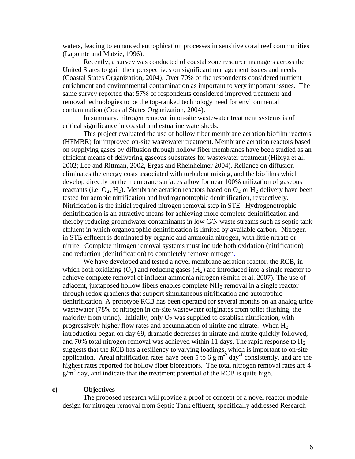waters, leading to enhanced eutrophication processes in sensitive coral reef communities (Lapointe and Matzie, 1996).

Recently, a survey was conducted of coastal zone resource managers across the United States to gain their perspectives on significant management issues and needs (Coastal States Organization, 2004). Over 70% of the respondents considered nutrient enrichment and environmental contamination as important to very important issues. The same survey reported that 57% of respondents considered improved treatment and removal technologies to be the top-ranked technology need for environmental contamination (Coastal States Organization, 2004).

In summary, nitrogen removal in on-site wastewater treatment systems is of critical significance in coastal and estuarine watersheds.

This project evaluated the use of hollow fiber membrane aeration biofilm reactors (HFMBR) for improved on-site wastewater treatment. Membrane aeration reactors based on supplying gases by diffusion through hollow fiber membranes have been studied as an efficient means of delivering gaseous substrates for wastewater treatment (Hibiya et al. 2002; Lee and Rittman, 2002, Ergas and Rheinheimer 2004). Reliance on diffusion eliminates the energy costs associated with turbulent mixing, and the biofilms which develop directly on the membrane surfaces allow for near 100% utilization of gaseous reactants (i.e.  $O_2$ ,  $H_2$ ). Membrane aeration reactors based on  $O_2$  or  $H_2$  delivery have been tested for aerobic nitrification and hydrogenotrophic denitrification, respectively. Nitrification is the initial required nitrogen removal step in STE. Hydrogenotrophic denitrification is an attractive means for achieving more complete denitrification and thereby reducing groundwater contaminants in low C/N waste streams such as septic tank effluent in which organotrophic denitrification is limited by available carbon. Nitrogen in STE effluent is dominated by organic and ammonia nitrogen, with little nitrate or nitrite. Complete nitrogen removal systems must include both oxidation (nitrification) and reduction (denitrification) to completely remove nitrogen.

We have developed and tested a novel membrane aeration reactor, the RCB, in which both oxidizing  $(O_2)$  and reducing gases  $(H_2)$  are introduced into a single reactor to achieve complete removal of influent ammonia nitrogen (Smith et al. 2007). The use of adjacent, juxtaposed hollow fibers enables complete  $NH_3$  removal in a single reactor through redox gradients that support simultaneous nitrification and autotrophic denitrification. A prototype RCB has been operated for several months on an analog urine wastewater (78% of nitrogen in on-site wastewater originates from toilet flushing, the majority from urine). Initially, only  $O<sub>2</sub>$  was supplied to establish nitrification, with progressively higher flow rates and accumulation of nitrite and nitrate. When  $H_2$ introduction began on day 69, dramatic decreases in nitrate and nitrite quickly followed, and 70% total nitrogen removal was achieved within 11 days. The rapid response to  $H_2$ suggests that the RCB has a resiliency to varying loadings, which is important to on-site application. Areal nitrification rates have been 5 to 6 g  $\text{m}^2$  day<sup>-1</sup> consistently, and are the highest rates reported for hollow fiber bioreactors. The total nitrogen removal rates are 4  $g/m<sup>2</sup>$  day, and indicate that the treatment potential of the RCB is quite high.

#### **c) Objectives**

The proposed research will provide a proof of concept of a novel reactor module design for nitrogen removal from Septic Tank effluent, specifically addressed Research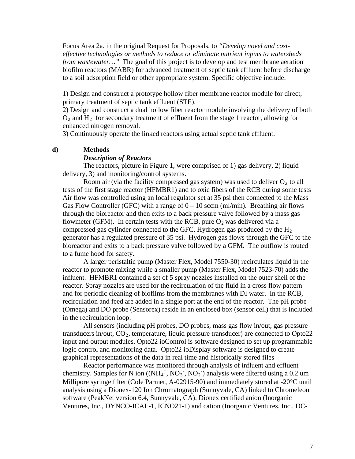Focus Area 2a. in the original Request for Proposals, to *"Develop novel and costeffective technologies or methods to reduce or eliminate nutrient inputs to watersheds from wastewater...*" The goal of this project is to develop and test membrane aeration biofilm reactors (MABR) for advanced treatment of septic tank effluent before discharge to a soil adsorption field or other appropriate system. Specific objective include:

1) Design and construct a prototype hollow fiber membrane reactor module for direct, primary treatment of septic tank effluent (STE).

2) Design and construct a dual hollow fiber reactor module involving the delivery of both  $O_2$  and  $H_2$  for secondary treatment of effluent from the stage 1 reactor, allowing for enhanced nitrogen removal.

3) Continuously operate the linked reactors using actual septic tank effluent.

#### **d) Methods**

#### *Description of Reactors*

The reactors, picture in Figure 1, were comprised of 1) gas delivery, 2) liquid delivery, 3) and monitoring/control systems.

Room air (via the facility compressed gas system) was used to deliver  $O_2$  to all tests of the first stage reactor (HFMBR1) and to oxic fibers of the RCB during some tests Air flow was controlled using an local regulator set at 35 psi then connected to the Mass Gas Flow Controller (GFC) with a range of  $0 - 10$  sccm (ml/min). Breathing air flows through the bioreactor and then exits to a back pressure valve followed by a mass gas flowmeter (GFM). In certain tests with the RCB, pure  $O_2$  was delivered via a compressed gas cylinder connected to the GFC. Hydrogen gas produced by the  $H_2$ generator has a regulated pressure of 35 psi. Hydrogen gas flows through the GFC to the bioreactor and exits to a back pressure valve followed by a GFM. The outflow is routed to a fume hood for safety.

A larger peristaltic pump (Master Flex, Model 7550-30) recirculates liquid in the reactor to promote mixing while a smaller pump (Master Flex, Model 7523-70) adds the influent. HFMBR1 contained a set of 5 spray nozzles installed on the outer shell of the reactor. Spray nozzles are used for the recirculation of the fluid in a cross flow pattern and for periodic cleaning of biofilms from the membranes with DI water. In the RCB, recirculation and feed are added in a single port at the end of the reactor. The pH probe (Omega) and DO probe (Sensorex) reside in an enclosed box (sensor cell) that is included in the recirculation loop.

All sensors (including pH probes, DO probes, mass gas flow in/out, gas pressure transducers in/out,  $CO_2$ , temperature, liquid pressure transducer) are connected to  $Opto22$ input and output modules. Opto22 ioControl is software designed to set up programmable logic control and monitoring data. Opto22 ioDisplay software is designed to create graphical representations of the data in real time and historically stored files

Reactor performance was monitored through analysis of influent and effluent chemistry. Samples for N ion  $((NH_4^+, NO_3^-, NO_2))$  analysis were filtered using a 0.2 um Millipore syringe filter (Cole Parmer, A-02915-90) and immediately stored at -20<sup>o</sup>C until analysis using a Dionex-120 Ion Chromatograph (Sunnyvale, CA) linked to Chromeleon software (PeakNet version 6.4, Sunnyvale, CA). Dionex certified anion (Inorganic Ventures, Inc., DYNCO-ICAL-1, ICNO21-1) and cation (Inorganic Ventures, Inc., DC-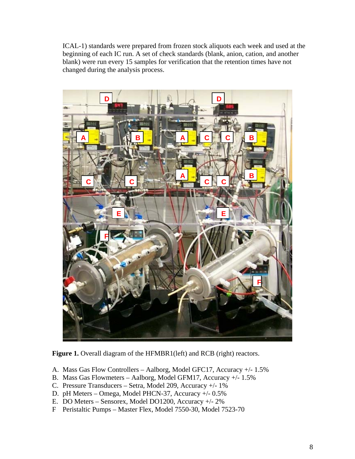ICAL-1) standards were prepared from frozen stock aliquots each week and used at the beginning of each IC run. A set of check standards (blank, anion, cation, and another blank) were run every 15 samples for verification that the retention times have not changed during the analysis process.



Figure 1. Overall diagram of the HFMBR1(left) and RCB (right) reactors.

- A. Mass Gas Flow Controllers Aalborg, Model GFC17, Accuracy +/- 1.5%
- B. Mass Gas Flowmeters Aalborg, Model GFM17, Accuracy +/- 1.5%
- C. Pressure Transducers Setra, Model 209, Accuracy +/- 1%
- D. pH Meters Omega, Model PHCN-37, Accuracy +/- 0.5%
- E. DO Meters Sensorex, Model DO1200, Accuracy +/- 2%
- F Peristaltic Pumps Master Flex, Model 7550-30, Model 7523-70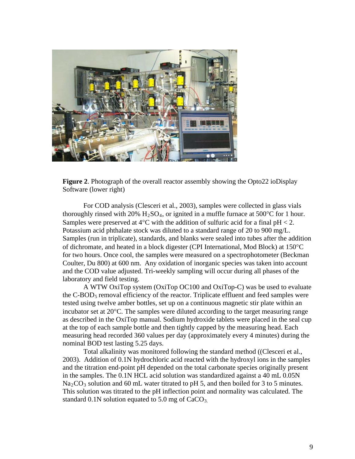

**Figure 2**. Photograph of the overall reactor assembly showing the Opto22 ioDisplay Software (lower right)

For COD analysis (Clesceri et al., 2003), samples were collected in glass vials thoroughly rinsed with 20%  $H_2SO_4$ , or ignited in a muffle furnace at 500°C for 1 hour. Samples were preserved at  $4^{\circ}$ C with the addition of sulfuric acid for a final pH  $< 2$ . Potassium acid phthalate stock was diluted to a standard range of 20 to 900 mg/L. Samples (run in triplicate), standards, and blanks were sealed into tubes after the addition of dichromate, and heated in a block digester (CPI International, Mod Block) at  $150^{\circ}$ C for two hours. Once cool, the samples were measured on a spectrophotometer (Beckman Coulter, Du 800) at 600 nm. Any oxidation of inorganic species was taken into account and the COD value adjusted. Tri-weekly sampling will occur during all phases of the laboratory and field testing.

A WTW OxiTop system (OxiTop OC100 and OxiTop-C) was be used to evaluate the  $C-BOD<sub>5</sub>$  removal efficiency of the reactor. Triplicate effluent and feed samples were tested using twelve amber bottles, set up on a continuous magnetic stir plate within an incubator set at  $20^{\circ}$ C. The samples were diluted according to the target measuring range as described in the OxiTop manual. Sodium hydroxide tablets were placed in the seal cup at the top of each sample bottle and then tightly capped by the measuring head. Each measuring head recorded 360 values per day (approximately every 4 minutes) during the nominal BOD test lasting 5.25 days.

Total alkalinity was monitored following the standard method ((Clesceri et al., 2003). Addition of 0.1N hydrochloric acid reacted with the hydroxyl ions in the samples and the titration end-point pH depended on the total carbonate species originally present in the samples. The 0.1N HCL acid solution was standardized against a 40 mL 0.05N  $Na_2CO_3$  solution and 60 mL water titrated to pH 5, and then boiled for 3 to 5 minutes. This solution was titrated to the pH inflection point and normality was calculated. The standard  $0.1N$  solution equated to  $5.0$  mg of  $CaCO<sub>3</sub>$ .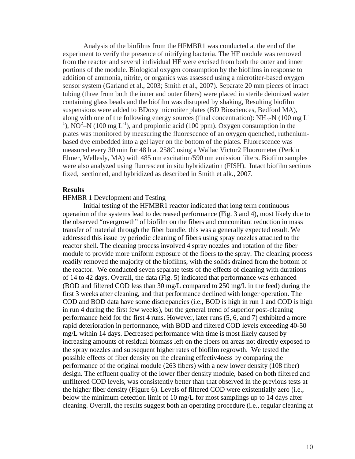Analysis of the biofilms from the HFMBR1 was conducted at the end of the experiment to verify the presence of nitrifying bacteria. The HF module was removed from the reactor and several individual HF were excised from both the outer and inner portions of the module. Biological oxygen consumption by the biofilms in response to addition of ammonia, nitrite, or organics was assessed using a microtiter-based oxygen sensor system (Garland et al., 2003; Smith et al., 2007). Separate 20 mm pieces of intact tubing (three from both the inner and outer fibers) were placed in sterile deionized water containing glass beads and the biofilm was disrupted by shaking, Resulting biofilm suspensions were added to BDoxy microtiter plates (BD Biosciences, Bedford MA), along with one of the following energy sources (final concentration):  $NH_4-N$  (100 mg L<sup>-</sup> <sup>1</sup>), NO<sup>2</sup>–N (100 mg L<sup>-1</sup>), and propionic acid (100 ppm). Oxygen consumption in the plates was monitored by measuring the fluorescence of an oxygen quenched, rutheniumbased dye embedded into a gel layer on the bottom of the plates. Fluorescence was measured every 30 min for 48 h at 258C using a Wallac Victor2 Fluorometer (Perkin Elmer, Wellesly, MA) with 485 nm excitation/590 nm emission filters. Biofilm samples were also analyzed using fluorescent in situ hybridization (FISH). Intact biofilm sections fixed, sectioned, and hybridized as described in Smith et alk., 2007.

## **Results**

## HFMBR 1 Development and Testing

Initial testing of the HFMBR1 reactor indicated that long term continuous operation of the systems lead to decreased performance (Fig. 3 and 4), most likely due to the observed "overgrowth" of biofilm on the fibers and concomitant reduction in mass transfer of material through the fiber bundle. this was a generally expected result. We addressed this issue by periodic cleaning of fibers using spray nozzles attached to the reactor shell. The cleaning process involved 4 spray nozzles and rotation of the fiber module to provide more uniform exposure of the fibers to the spray. The cleaning process readily removed the majority of the biofilms, with the solids drained from the bottom of the reactor. We conducted seven separate tests of the effects of cleaning with durations of 14 to 42 days. Overall, the data (Fig. 5) indicated that performance was enhanced (BOD and filtered COD less than 30 mg/L compared to 250 mg/L in the feed) during the first 3 weeks after cleaning, and that performance declined with longer operation. The COD and BOD data have some discrepancies (i.e., BOD is high in run 1 and COD is high in run 4 during the first few weeks), but the general trend of superior post-cleaning performance held for the first 4 runs. However, later runs (5, 6, and 7) exhibited a more rapid deterioration in performance, with BOD and filtered COD levels exceeding 40-50 mg/L within 14 days. Decreased performance with time is most likely caused by increasing amounts of residual biomass left on the fibers on areas not directly exposed to the spray nozzles and subsequent higher rates of biofilm regrowth. We tested the possible effects of fiber density on the cleaning effectiv4ness by comparing the performance of the original module (263 fibers) with a new lower density (108 fiber) design. The effluent quality of the lower fiber density module, based on both filtered and unfiltered COD levels, was consistently better than that observed in the previous tests at the higher fiber density (Figure 6). Levels of filtered COD were existentially zero (i.e., below the minimum detection limit of 10 mg/L for most samplings up to 14 days after cleaning. Overall, the results suggest both an operating procedure (i.e., regular cleaning at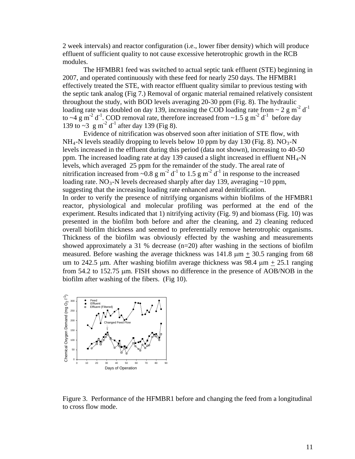2 week intervals) and reactor configuration (i.e., lower fiber density) which will produce effluent of sufficient quality to not cause excessive heterotrophic growth in the RCB modules.

The HFMBR1 feed was switched to actual septic tank effluent (STE) beginning in 2007, and operated continuously with these feed for nearly 250 days. The HFMBR1 effectively treated the STE, with reactor effluent quality similar to previous testing with the septic tank analog (Fig 7.) Removal of organic material remained relatively consistent throughout the study, with BOD levels averaging 20-30 ppm (Fig. 8). The hydraulic loading rate was doubled on day 139, increasing the COD loading rate from  $\sim 2$  g m<sup>-2</sup> d<sup>-1</sup> to ~4 g m<sup>-2</sup> d<sup>-1</sup>. COD removal rate, therefore increased from ~1.5 g m<sup>-2</sup> d<sup>-1</sup> before day 139 to  $\sim$ 3 g m<sup>-2</sup> d<sup>-1</sup> after day 139 (Fig 8).

Evidence of nitrification was observed soon after initiation of STE flow, with  $NH_4$ -N levels steadily dropping to levels below 10 ppm by day 130 (Fig. 8).  $NO_3$ -N levels increased in the effluent during this period (data not shown), increasing to 40-50 ppm. The increased loading rate at day 139 caused a slight increased in effluent NH4-N levels, which averaged 25 ppm for the remainder of the study. The areal rate of nitrification increased from ~0.8 g m<sup>-2</sup> d<sup>-1</sup> to 1.5 g m<sup>-2</sup> d<sup>-1</sup> in response to the increased loading rate. NO<sub>3</sub>-N levels decreased sharply after day 139, averaging  $\sim$ 10 ppm, suggesting that the increasing loading rate enhanced areal denitrification. In order to verify the presence of nitrifying organisms within biofilms of the HFMBR1 reactor, physiological and molecular profiling was performed at the end of the experiment. Results indicated that 1) nitrifying activity (Fig. 9) and biomass (Fig. 10) was presented in the biofilm both before and after the cleaning, and 2) cleaning reduced overall biofilm thickness and seemed to preferentially remove heterotrophic organisms. Thickness of the biofilm was obviously effected by the washing and measurements showed approximately a 31 % decrease  $(n=20)$  after washing in the sections of biofilm measured. Before washing the average thickness was  $141.8 \mu m + 30.5$  ranging from 68 um to 242.5 µm. After washing biofilm average thickness was 98.4  $\mu$ m + 25.1 ranging from 54.2 to 152.75 µm. FISH shows no difference in the presence of AOB/NOB in the biofilm after washing of the fibers. (Fig 10).



Figure 3. Performance of the HFMBR1 before and changing the feed from a longitudinal to cross flow mode.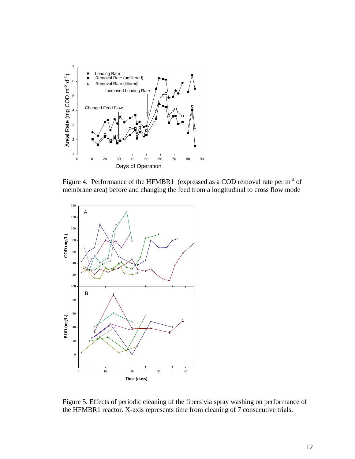

Figure 4. Performance of the HFMBR1 (expressed as a COD removal rate per m<sup>-2</sup> of membrane area) before and changing the feed from a longitudinal to cross flow mode



Figure 5. Effects of periodic cleaning of the fibers via spray washing on performance of the HFMBR1 reactor. X-axis represents time from cleaning of 7 consecutive trials.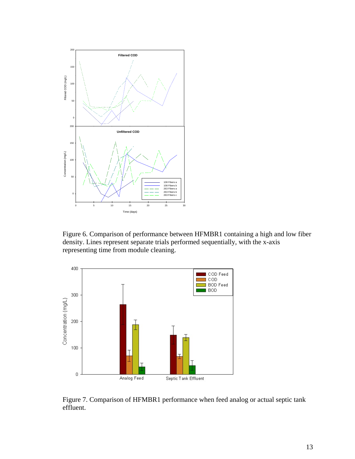

Figure 6. Comparison of performance between HFMBR1 containing a high and low fiber density. Lines represent separate trials performed sequentially, with the x-axis representing time from module cleaning.



Figure 7. Comparison of HFMBR1 performance when feed analog or actual septic tank effluent.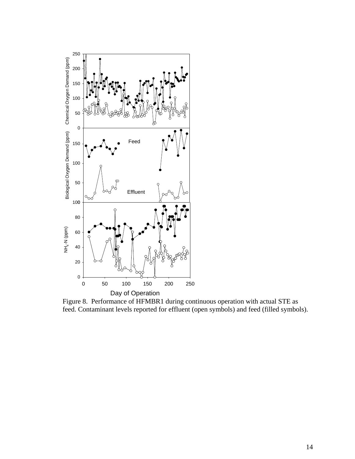

Figure 8. Performance of HFMBR1 during continuous operation with actual STE as feed. Contaminant levels reported for effluent (open symbols) and feed (filled symbols).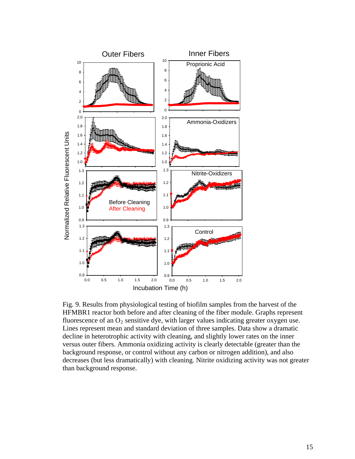

Fig. 9. Results from physiological testing of biofilm samples from the harvest of the HFMBR1 reactor both before and after cleaning of the fiber module. Graphs represent fluorescence of an  $O_2$  sensitive dye, with larger values indicating greater oxygen use. Lines represent mean and standard deviation of three samples. Data show a dramatic decline in heterotrophic activity with cleaning, and slightly lower rates on the inner versus outer fibers. Ammonia oxidizing activity is clearly detectable (greater than the background response, or control without any carbon or nitrogen addition), and also decreases (but less dramatically) with cleaning. Nitrite oxidizing activity was not greater than background response.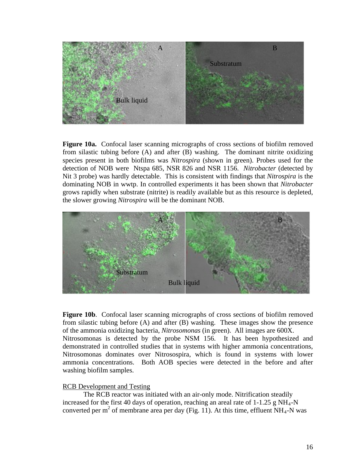

**Figure 10a.** Confocal laser scanning micrographs of cross sections of biofilm removed from silastic tubing before (A) and after (B) washing. The dominant nitrite oxidizing species present in both biofilms was *Nitrospira* (shown in green). Probes used for the detection of NOB were Ntspa 685, NSR 826 and NSR 1156. *Nitrobacter* (detected by Nit 3 probe) was hardly detectable. This is consistent with findings that *Nitrospira* is the dominating NOB in wwtp. In controlled experiments it has been shown that *Nitrobacter* grows rapidly when substrate (nitrite) is readily available but as this resource is depleted, the slower growing *Nitrospira* will be the dominant NOB.



**Figure 10b**. Confocal laser scanning micrographs of cross sections of biofilm removed from silastic tubing before (A) and after (B) washing. These images show the presence of the ammonia oxidizing bacteria, *Nitrosomonas* (in green). All images are 600X. Nitrosomonas is detected by the probe NSM 156. It has been hypothesized and demonstrated in controlled studies that in systems with higher ammonia concentrations, Nitrosomonas dominates over Nitrosospira, which is found in systems with lower ammonia concentrations. Both AOB species were detected in the before and after washing biofilm samples.

#### RCB Development and Testing

The RCB reactor was initiated with an air-only mode. Nitrification steadily increased for the first 40 days of operation, reaching an areal rate of  $1\n-1.25$  g NH<sub>4</sub>-N converted per m<sup>2</sup> of membrane area per day (Fig. 11). At this time, effluent NH<sub>4</sub>-N was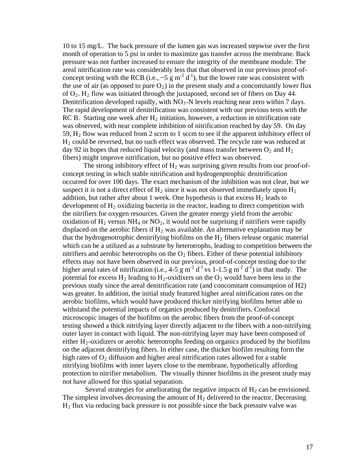10 to 15 mg/L. The back pressure of the lumen gas was increased stepwise over the first month of operation to 5 psi in order to maximize gas transfer across the membrane. Back pressure was not further increased to ensure the integrity of the membrane module. The areal nitrification rate was considerably less that that observed in our previous proof-ofconcept testing with the RCB (i.e.,  $\sim 5 \text{ g m}^{-2} \text{ d}^{-1}$ ), but the lower rate was consistent with the use of air (as opposed to pure  $O_2$ ) in the present study and a concomitantly lower flux of  $O_2$ . H<sub>2</sub> flow was initiated through the juxtaposed, second set of fibers on Day 44. Denitrification developed rapidly, with  $NO<sub>3</sub>$ -N levels reaching near zero within 7 days. The rapid development of denitrification was consistent with our previous tests with the RC B. Starting one week after  $H_2$  initiation, however, a reduction in nitrification rate was observed, with near complete inhibition of nitrification reached by day 59. On day 59,  $H_2$  flow was reduced from 2 sccm to 1 sccm to see if the apparent inhibitory effect of H<sub>2</sub> could be reversed, but no such effect was observed. The recycle rate was reduced at fibers) might improve nitrification, but no positive effect was observed. day 92 in hopes that reduced liquid velocity (and mass transfer between  $O_2$  and  $H_2$ )

The strong inhibitory effect of  $H_2$  was surprising given results from our proof-ofconcept testing in which stable nitrification and hydrogenptrophic denitrification occurred for over 100 days. The exact mechanism of the inhibition was not clear, but we suspect it is not a direct effect of  $H_2$  since it was not observed immediately upon  $H_2$ addition, but rather after about 1 week. One hypothesis is that excess  $H_2$  leads to development of  $H_2$  oxidizing bacteria in the reactor, leading to direct competition with the nitrifiers for oxygen resources. Given the greater energy yield from the aerobic oxidation of  $H_2$  versus NH<sub>4</sub> or NO<sub>2</sub>, it would not be surprising if nitrifiers were rapidly displaced on the aerobic fibers if  $H_2$  was available. An alternative explanation may be that the hydrogenotrophic denitrifying biofilms on the  $H_2$  fibers release organic material which can be a utilized as a substrate by heterotrophs, leading to competition between the nitrifiers and aerobic heterotrophs on the  $O_2$  fibers. Either of these potential inhibitory effects may not have been observed in our previous, proof-of-concept testing due to the higher areal rates of nitrification (i.e.,  $4-5 \text{ g m}^{-2} \text{ d}^{-1} \text{ vs } 1-1.5 \text{ g m}^{-2} \text{ d}^{-1}$ ) in that study. The potential for excess  $H_2$  leading to  $H_2$ -oxidixers on the  $O_2$  would have been less in the previous study since the areal denitrification rate (and concomitant consumption of H2) was greater. In addition, the initial study featured higher areal nitrification rates on the aerobic biofilms, which would have produced thicker nitrifying biofilms better able to withstand the potential impacts of organics produced by denitrifiers. Confocal microscopic images of the biofilms on the aerobic fibers from the proof-of-concept testing showed a thick nitrifying layer directly adjacent to the fibers with a non-nitrifying outer layer in contact with liquid. The non-nitrifying layer may have been composed of either  $H_2$ -oxidizers or aerobic heterotrophs feeding on organics produced by the biofilms on the adjacent denitrifying fibers. In either case, the thicker biofilm resulting form the high rates of  $O_2$  diffusion and higher areal nitrification rates allowed for a stable nitrifying biofilms with inner layers close to the membrane, hypothetically affording protection to nitrifier metabolism. The visually thinner biofilms in the present study may not have allowed for this spatial separation.

Several strategies for ameliorating the negative impacts of  $H_2$  can be envisioned. The simplest involves decreasing the amount of  $H_2$  delivered to the reactor. Decreasing  $H<sub>2</sub>$  flux via reducing back pressure is not possible since the back pressure valve was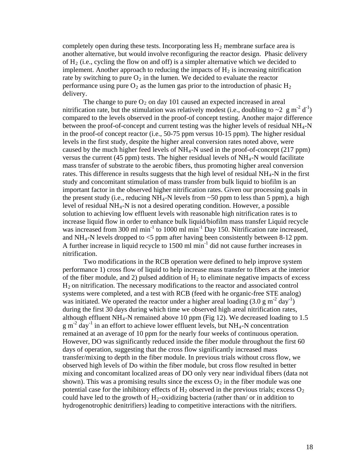completely open during these tests. Incorporating less  $H_2$  membrane surface area is another alternative, but would involve reconfiguring the reactor design. Phasic delivery of  $H_2$  (i.e., cycling the flow on and off) is a simpler alternative which we decided to implement. Another approach to reducing the impacts of  $H_2$  is increasing nitrification rate by switching to pure  $O_2$  in the lumen. We decided to evaluate the reactor performance using pure  $O_2$  as the lumen gas prior to the introduction of phasic  $H_2$ deliver y.

in the proof-of concept reactor (i.e., 50-75 ppm versus 10-15 ppm). The higher residual caused by the much higher feed levels of  $NH_4-N$  used in the proof-of-concept (217 ppm) rates. This difference in results suggests that the high level of residual NH<sub>4</sub>-N in the first was increased from 300 ml min<sup>-1</sup> to 1000 ml min<sup>-1</sup> Day 150. Nitrification rate increased, and  $NH_4$ -N levels dropped to  $\leq$ 5 ppm after having been consistently between 8-12 ppm. A further increase in liquid recycle to  $1500 \text{ ml min}^{-1}$  did not cause further increases in nitrifica tion. The change to pure  $O_2$  on day 101 caused an expected increased in areal nitrification rate, but the stimulation was relatively modest (i.e., doubling to  $\sim 2 \text{ g m}^{-2} d^{-1}$ ) compared to the levels observed in the proof-of concept testing. Another major difference between the proof-of-concept and current testing was the higher levels of residual  $NH_4-N$ levels in the first study, despite the higher areal conversion rates noted above, were versus the current (45 ppm) tests. The higher residual levels of  $NH<sub>4</sub>$ -N would facilitate mass transfer of substrate to the aerobic fibers, thus promoting higher areal conversion study and concomitant stimulation of mass transfer from bulk liquid to biofilm is an important factor in the observed higher nitrification rates. Given our processing goals in the present study (i.e., reducing  $NH_4-N$  levels from  $\sim 50$  ppm to less than 5 ppm), a high level of residual NH4-N is not a desired operating condition. However, a possible solution to achieving low effluent levels with reasonable high nitrification rates is to increase liquid flow in order to enhance bulk liquid/biofilm mass transfer Liquid recycle

of the fiber module, and 2) pulsed addition of  $H_2$  to eliminate negative impacts of excess systems were completed, and a test with RCB (feed with he organic-free STE analog) remained at an average of 10 ppm for the nearly four weeks of continuous operation. potential case for the inhibitory effects of  $H_2$  observed in the previous trials; excess  $O_2$ Two modifications in the RCB operation were defined to help improve system performance 1) cross flow of liquid to help increase mass transfer to fibers at the interior H2 on nitrification. The necessary modifications to the reactor and associated control was initiated. We operated the reactor under a higher areal loading  $(3.0 \text{ g m}^{-2} \text{ day}^{-1})$ during the first 30 days during which time we observed high areal nitrification rates, although effluent  $NH_4$ -N remained above 10 ppm (Fig 12). We decreased loading to 1.5  $g m<sup>-2</sup> day<sup>-1</sup>$  in an effort to achieve lower effluent levels, but NH<sub>4</sub>-N concentration However, DO was significantly reduced inside the fiber module throughout the first 60 days of operation, suggesting that the cross flow significantly increased mass transfer/mixing to depth in the fiber module. In previous trials without cross flow, we observed high levels of Do within the fiber module, but cross flow resulted in better mixing and concomitant localized areas of DO only very near individual fibers (data not shown). This was a promising results since the excess  $O_2$  in the fiber module was one could have led to the growth of  $H_2$ -oxidizing bacteria (rather than/ or in addition to hydrogenotrophic denitrifiers) leading to competitive interactions with the nitrifiers.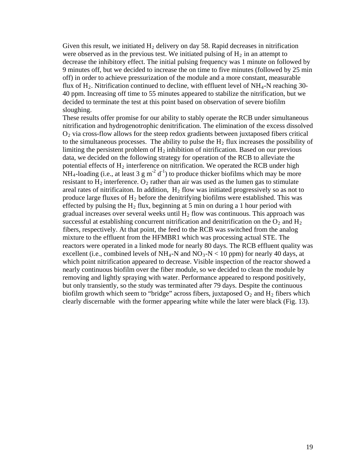Given this result, we initiated  $H_2$  delivery on day 58. Rapid decreases in nitrification were observed as in the previous test. We initiated pulsing of  $H_2$  in an attempt to decrease the inhibitory effect. The initial pulsing frequency was 1 minute on followe d by 9 minutes off, but we decided to increase the on time to five minutes (followed by 25 m in off) in order to achieve pressurization of the module and a more constant, measurable flux of  $H_2$ . Nitrification continued to decline, with effluent level of  $NH_4$ -N reaching 30-40 ppm. Increasing off time to 55 minutes appeared to stabilize the nitrification, but we decided to terminate the test at this point based on observation of severe biofilm sloughing.

 $O<sub>2</sub>$  via cross-flow allows for the steep redox gradients between juxtaposed fibers critical to the simultaneous processes. The ability to pulse the  $H_2$  flux increases the possibility of produce large fluxes of  $H_2$  before the denitrifying biofilms were established. This was effected by pulsing the  $H_2$  flux, beginning at 5 min on during a 1 hour period with reactors were operated in a linked mode for nearly 80 days. The RCB effluent quality was excellent (i.e., combined levels of  $NH_4-N$  and  $NO_3-N < 10$  ppm) for nearly 40 days, at biofilm growth which seem to "bridge" across fibers, juxtaposed  $O_2$  and  $H_2$  fibers which clearly discernable with the former appearing white while the later were black (Fig. 13). These results offer promise for our ability to stably operate the RCB under simultaneous nitrification and hydrogenotrophic denitrification. The elimination of the excess dissolved limiting the persistent problem of  $H_2$  inhibition of nitrification. Based on our previous data, we decided on the following strategy for operation of the RCB to alleviate the potential effects of  $H_2$  interference on nitrification. We operated the RCB under high  $NH_4$ -loading (i.e., at least 3 g m<sup>-2</sup> d<sup>-1</sup>) to produce thicker biofilms which may be more resistant to  $H_2$  interference.  $O_2$  rather than air was used as the lumen gas to stimulate areal rates of nitrificaiton. In addition,  $H_2$  flow was initiated progressively so as not to gradual increases over several weeks until  $H_2$  flow was continuous. This approach was successful at establishing concurrent nitrification and denitrification on the  $O_2$  and  $H_2$ fibers, respectively. At that point, the feed to the RCB was switched from the analog mixture to the effluent from the HFMBR1 which was processing actual STE. The which point nitrification appeared to decrease. Visible inspection of the reactor showed a nearly continuous biofilm over the fiber module, so we decided to clean the module by removing and lightly spraying with water. Performance appeared to respond positively, but only transiently, so the study was terminated after 79 days. Despite the continuous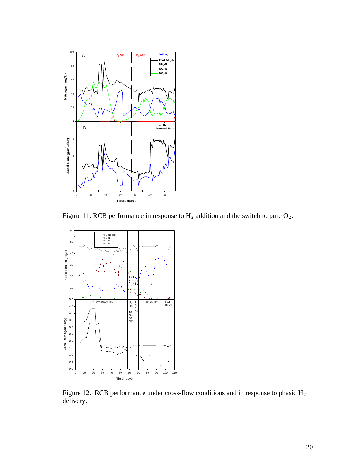

Figure 11. RCB performance in response to  $H_2$  addition and the switch to pure  $O_2$ .



Figure 12. RCB performance under cross-flow conditions and in response to phasic H<sub>2</sub> delivery.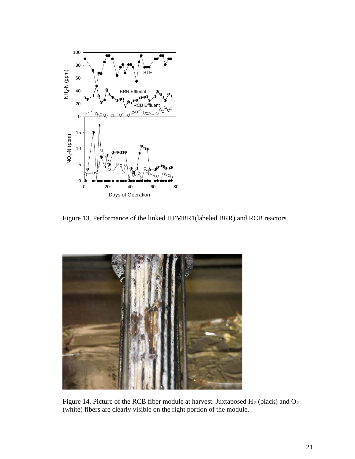

Figure 13. Performance of the linked HFMBR1(labeled BRR) and RCB reactors.



Figure 14. Picture of the RCB fiber module at harvest. Juxtaposed  $H_2$  (black) and  $O_2$ (white) fibers are clearly visible on the right portion of the module.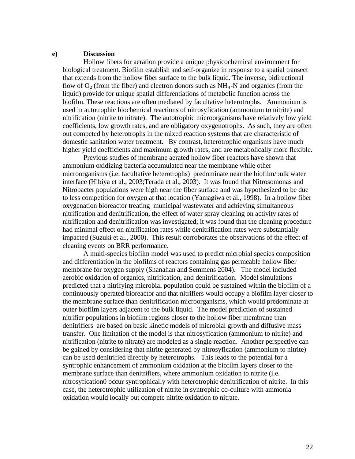#### **e) Discussion**

Hollow fibers for aeration provide a unique physicochemical environment for biological treatment. Biofilm establish and self-organize in response to a spatial transect that extends from the hollow fiber surface to the bulk liquid. The inverse, bidirectional flow of  $O_2$  (from the fiber) and electron donors such as  $NH_4$ -N and organics (from the liquid) provide for unique spatial differentiations of metabolic function across the biofilm. These reactions are often mediated by facultative heterotrophs. Ammonium is used in autotrophic biochemical reactions of nitrosyfication (ammonium to nitrite) and nitrification (nitrite to nitrate). The autotrophic microorganisms have relatively low yield coefficients, low growth rates, and are obligatory oxygenotrophs. As such, they are often out competed by heterotrophs in the mixed reaction systems that are characteristic of domestic sanitation water treatment. By contrast, heterotrophic organisms have much higher yield coefficients and maximum growth rates, and are metabolically more flexible.

Previous studies of membrane aerated hollow fiber reactors have shown that ammonium oxidizing bacteria accumulated near the membrane while other microorganisms (i.e. facultative heterotrophs) predominate near the biofilm/bulk water interface (Hibiya et al., 2003;Terada et al., 2003). It was found that Nitrosomonas and Nitrobacter populations were high near the fiber surface and was hypothesized to be due to less competition for oxygen at that location (Yamagiwa et al., 1998). In a hollow fiber oxygenation bioreactor treating municipal wastewater and achieving simultaneous nitrification and denitrification, the effect of water spray cleaning on activity rates of nitrification and denitrification was investigated; it was found that the cleaning procedure had minimal effect on nitrification rates while denitrification rates were substantially impacted (Suzuki et al., 2000). This result corroborates the observations of the effect of cleaning events on BRR performance.

A multi-species biofilm model was used to predict microbial species composition and differentiation in the biofilms of reactors containing gas permeable hollow fiber membrane for oxygen supply (Shanahan and Semmens 2004). The model included aerobic oxidation of organics, nitrification, and denitrification. Model simulations predicted that a nitrifying microbial population could be sustained within the biofilm of a continuously operated bioreactor and that nitrifiers would occupy a biofilm layer closer to the membrane surface than denitrification microorganisms, which would predominate at outer biofilm layers adjacent to the bulk liquid. The model prediction of sustained nitrifier populations in biofilm regions closer to the hollow fiber membrane than denitrifiers are based on basic kinetic models of microbial growth and diffusive mass transfer. One limitation of the model is that nitrosyfication (ammonium to nitrite) and nitrification (nitrite to nitrate) are modeled as a single reaction. Another perspective can be gained by considering that nitrite generated by nitrosyfication (ammonium to nitrite) can be used denitrified directly by heterotrophs. This leads to the potential for a syntrophic enhancement of ammonium oxidation at the biofilm layers closer to the membrane surface than denitrifiers, where ammonium oxidation to nitrite (i.e. nitrosyfication0 occur syntrophically with heterotrophic denitrification of nitrite. In this case, the heterotrophic utilization of nitrite in syntrophic co-culture with ammonia oxidation would locally out compete nitrite oxidation to nitrate.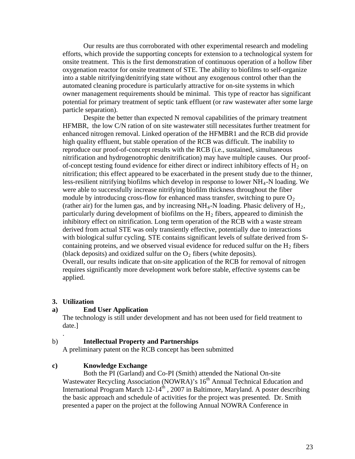Our results are thus corroborated with other experimental research and modeling efforts, which provide the supporting concepts for extension to a technological system for onsite treatment. This is the first demonstration of continuous operation of a hollow fiber oxygenation reactor for onsite treatment of STE. The ability to biofilms to self-organize into a stable nitrifying/denitrifying state without any exogenous control other than the automated cleaning procedure is particularly attractive for on-site systems in which owner management requirements should be minimal. This type of reactor has significant potential for primary treatment of septic tank effluent (or raw wastewater after some large particle separation).

Despite the better than expected N removal capabilities of the primary treatment HFMBR, the low C/N ration of on site wastewater still necessitates further treatment for enhanced nitrogen removal. Linked operation of the HFMBR1 and the RCB did provide high quality effluent, but stable operation of the RCB was difficult. The inability to reproduce our proof-of-concept results with the RCB (i.e., sustained, simultaneous nitrification and hydrogenotrophic denitrification) may have multiple causes. Our proofof-concept testing found evidence for either direct or indirect inhibitory effects of  $H_2$  on nitrification; this effect appeared to be exacerbated in the present study due to the thinner, less-resilient nitrifying biofilms which develop in response to lower NH4-N loading. We were able to successfully increase nitrifying biofilm thickness throughout the fiber module by introducing cross-flow for enhanced mass transfer, switching to pure  $O_2$ (rather air) for the lumen gas, and by increasing  $NH_4$ -N loading. Phasic delivery of  $H_2$ , particularly during development of biofilms on the  $H_2$  fibers, appeared to diminish the inhibitory effect on nitrification. Long term operation of the RCB with a waste stream derived from actual STE was only transiently effective, potentially due to interactions with biological sulfur cycling. STE contains significant levels of sulfate derived from Scontaining proteins, and we observed visual evidence for reduced sulfur on the  $H_2$  fibers (black deposits) and oxidized sulfur on the  $O_2$  fibers (white deposits). Overall, our results indicate that on-site application of the RCB for removal of nitrogen requires significantly more development work before stable, effective systems can be applied.

## **3. Utilization**

.

## **a) End User Application**

The technology is still under development and has not been used for field treatment to date.]

# b) **Intellectual Property and Partnerships**

A preliminary patent on the RCB concept has been submitted

# **c) Knowledge Exchange**

Both the PI (Garland) and Co-PI (Smith) attended the National On-site Wastewater Recycling Association (NOWRA)'s 16<sup>th</sup> Annual Technical Education and International Program March  $12-14<sup>th</sup>$ , 2007 in Baltimore, Maryland. A poster describing the basic approach and schedule of activities for the project was presented. Dr. Smith presented a paper on the project at the following Annual NOWRA Conference in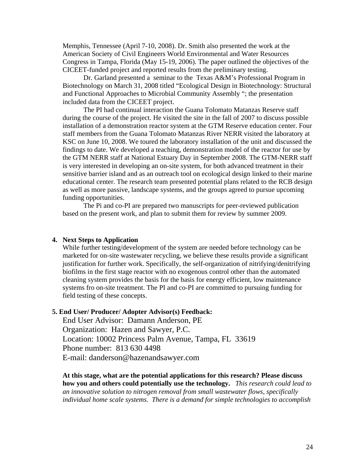Memphis, Tennessee (April 7-10, 2008). Dr. Smith also presented the work at the American Society of Civil Engineers World Environmental and Water Resources Congress in Tampa, Florida (May 15-19, 2006). The paper outlined the objectives of the CICEET-funded project and reported results from the preliminary testing.

Dr. Garland presented a seminar to the Texas A&M's Professional Program in Biotechnology on March 31, 2008 titled "Ecological Design in Biotechnology: Structural and Functional Approaches to Microbial Community Assembly "; the presentation included data from the CICEET project.

The PI had continual interaction the Guana Tolomato Matanzas Reserve staff during the course of the project. He visited the site in the fall of 2007 to discuss possible installation of a demonstration reactor system at the GTM Reserve education center. Four staff members from the Guana Tolomato Matanzas River NERR visited the laboratory at KSC on June 10, 2008. We toured the laboratory installation of the unit and discussed the findings to date. We developed a teaching, demonstration model of the reactor for use by the GTM NERR staff at National Estuary Day in September 2008. The GTM-NERR staff is very interested in developing an on-site system, for both advanced treatment in their sensitive barrier island and as an outreach tool on ecological design linked to their marine educational center. The research team presented potential plans related to the RCB design as well as more passive, landscape systems, and the groups agreed to pursue upcoming funding opportunities.

The Pi and co-PI are prepared two manuscripts for peer-reviewed publication based on the present work, and plan to submit them for review by summer 2009.

#### **4. Next Steps to Application**

While further testing/development of the system are needed before technology can be marketed for on-site wastewater recycling, we believe these results provide a significant justification for further work. Specifically, the self-organization of nitrifying/denitrifying biofilms in the first stage reactor with no exogenous control other than the automated cleaning system provides the basis for the basis for energy efficient, low maintenance systems fro on-site treatment. The PI and co-PI are committed to pursuing funding for field testing of these concepts.

#### **5. End User/ Producer/ Adopter Advisor(s) Feedback:**

End User Advisor: Damann Anderson, PE Organization: Hazen and Sawyer, P.C. Location: 10002 Princess Palm Avenue, Tampa, FL 33619 Phone number: 813 630 4498 E-mail: danderson@hazenandsawyer.com

**At this stage, what are the potential applications for this research? Please discuss how you and others could potentially use the technology.** *This research could lead to an innovative solution to nitrogen removal from small wastewater flows, specifically individual home scale systems. There is a demand for simple technologies to accomplish*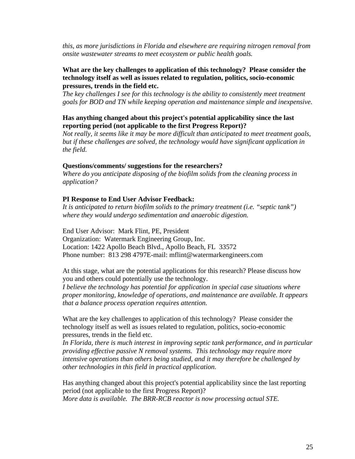*this, as more jurisdictions in Florida and elsewhere are requiring nitrogen removal from onsite wastewater streams to meet ecosystem or public health goals.*

## **What are the key challenges to application of this technology? Please consider the technology itself as well as issues related to regulation, politics, socio-economic pressures, trends in the field etc.**

*The key challenges I see for this technology is the ability to consistently meet treatment goals for BOD and TN while keeping operation and maintenance simple and inexpensive.* 

## **Has anything changed about this project's potential applicability since the last reporting period (not applicable to the first Progress Report)?**

*Not really, it seems like it may be more difficult than anticipated to meet treatment goals, but if these challenges are solved, the technology would have significant application in the field.* 

#### **Questions/comments/ suggestions for the researchers?**

*Where do you anticipate disposing of the biofilm solids from the cleaning process in application?* 

## **PI Response to End User Advisor Feedback:**

*It is anticipated to return biofilm solids to the primary treatment (i.e. "septic tank") where they would undergo sedimentation and anaerobic digestion.* 

End User Advisor: Mark Flint, PE, President Organization: Watermark Engineering Group, Inc. Location: 1422 Apollo Beach Blvd., Apollo Beach, FL 33572 Phone number: 813 298 4797E-mail: mflint@watermarkengineers.com

At this stage, what are the potential applications for this research? Please discuss how you and others could potentially use the technology. *I believe the technology has potential for application in special case situations where proper monitoring, knowledge of operations, and maintenance are available. It appears that a balance process operation requires attention.* 

What are the key challenges to application of this technology? Please consider the technology itself as well as issues related to regulation, politics, socio-economic pressures, trends in the field etc.

*In Florida, there is much interest in improving septic tank performance, and in particular providing effective passive N removal systems. This technology may require more intensive operations than others being studied, and it may therefore be challenged by other technologies in this field in practical application.* 

Has anything changed about this project's potential applicability since the last reporting period (not applicable to the first Progress Report)? *More data is available. The BRR-RCB reactor is now processing actual STE.*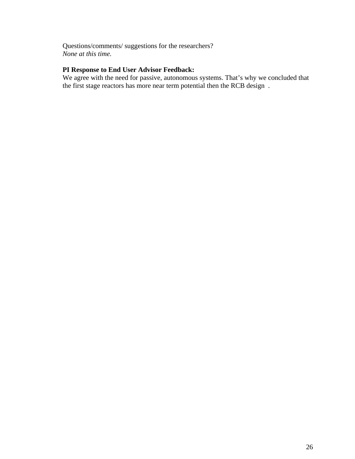Questions/comments/ suggestions for the researchers? *None at this time.* 

# **PI Response to End User Advisor Feedback:**

We agree with the need for passive, autonomous systems. That's why we concluded that the first stage reactors has more near term potential then the RCB design .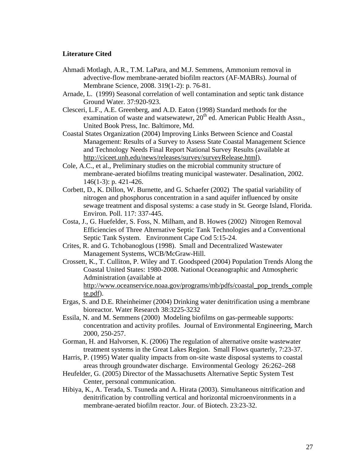## **Literature Cited**

- Ahmadi Motlagh, A.R., T.M. LaPara, and M.J. Semmens, Ammonium removal in advective-flow membrane-aerated biofilm reactors (AF-MABRs). Journal of Membrane Science, 2008. 319(1-2): p. 76-81.
- Arnade, L. (1999) Seasonal correlation of well contamination and septic tank distance Ground Water. 37:920-923.
- Clesceri, L.F., A.E. Greenberg, and A.D. Eaton (1998) Standard methods for the examination of waste and watsewatewr,  $20<sup>th</sup>$  ed. American Public Health Assn., United Book Press, Inc. Baltimore, Md.
- Coastal States Organization (2004) Improving Links Between Science and Coastal Management: Results of a Survey to Assess State Coastal Management Science and Technology Needs Final Report National Survey Results (available at <http://ciceet.unh.edu/news/releases/survey/surveyRelease.html>).
- Cole, A.C., et al., Preliminary studies on the microbial community structure of membrane-aerated biofilms treating municipal wastewater. Desalination, 2002. 146(1-3): p. 421-426.
- Corbett, D., K. Dillon, W. Burnette, and G. Schaefer (2002) The spatial variability of nitrogen and phosphorus concentration in a sand aquifer influenced by onsite sewage treatment and disposal systems: a case study in St. George Island, Florida. Environ. Poll. 117: 337-445.
- Costa, J., G. Huefelder, S. Foss, N. Milham, and B. Howes (2002) Nitrogen Removal Efficiencies of Three Alternative Septic Tank Technologies and a Conventional Septic Tank System. Environment Cape Cod 5:15-24.
- Crites, R. and G. Tchobanoglous (1998). Small and Decentralized Wastewater Management Systems, WCB/McGraw-Hill.
- Crossett, K., T. Culliton, P. Wiley and T. Goodspeed (2004) Population Trends Along the Coastal United States: 1980-2008. National Oceanographic and Atmospheric Administration (available at [http://www.oceanservice.noaa.gov/programs/mb/pdfs/coastal\\_pop\\_trends\\_comple](http://www.oceanservice.noaa.gov/programs/mb/pdfs/coastal_pop_trends_complete.pdf) [te.pdf\)](http://www.oceanservice.noaa.gov/programs/mb/pdfs/coastal_pop_trends_complete.pdf).
- Ergas, S. and D.E. Rheinheimer (2004) Drinking water denitrification using a membrane bioreactor. Water Research 38:3225-3232
- Essila, N. and M. Semmens (2000) Modeling biofilms on gas-permeable supports: concentration and activity profiles. Journal of Environmental Engineering, March 2000, 250-257.
- Gorman, H. and Halvorsen, K. (2006) The regulation of alternative onsite wastewater treatment systems in the Great Lakes Region. Small Flows quarterly, 7:23-37.
- Harris, P. (1995) Water quality impacts from on-site waste disposal systems to coastal areas through groundwater discharge. Environmental Geology 26:262–268
- Heufelder, G. (2005) Director of the Massachusetts Alternative Septic System Test Center, personal communication.
- Hibiya, K., A. Terada, S. Tsuneda and A. Hirata (2003). Simultaneous nitrification and denitrification by controlling vertical and horizontal microenvironments in a membrane-aerated biofilm reactor. Jour. of Biotech. 23:23-32.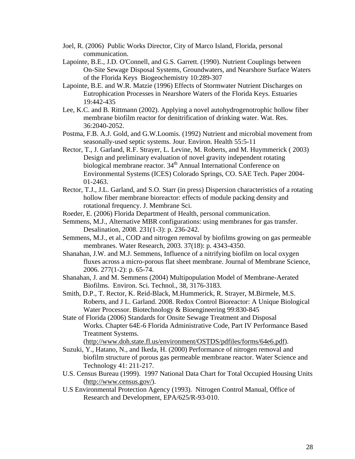- Joel, R. (2006) Public Works Director, City of Marco Island, Florida, personal communication.
- Lapointe, B.E., J.D. O'Connell, and G.S. Garrett. (1990). Nutrient Couplings between On-Site Sewage Disposal Systems, Groundwaters, and Nearshore Surface Waters of the Florida Keys Biogeochemistry 10:289-307
- Lapointe, B.E. and W.R. Matzie (1996) Effects of Stormwater Nutrient Discharges on Eutrophication Processes in Nearshore Waters of the Florida Keys. Estuaries 19:442-435
- Lee, K.C. and B. Rittmann (2002). Applying a novel autohydrogenotrophic hollow fiber membrane biofilm reactor for denitrification of drinking water. Wat. Res. 36:2040-2052.
- Postma, F.B. A.J. Gold, and G.W.Loomis. (1992) Nutrient and microbial movement from seasonally-used septic systems. Jour. Environ. Health 55:5-11
- Rector, T., J. Garland, R.F. Strayer, L. Levine, M. Roberts, and M. Huymmerick ( 2003) Design and preliminary evaluation of novel gravity independent rotating biological membrane reactor. 34<sup>th</sup> Annual International Conference on Environmental Systems (ICES) Colorado Springs, CO. SAE Tech. Paper 2004- 01-2463.
- Rector, T.J., J.L. Garland, and S.O. Starr (in press) Dispersion characteristics of a rotating hollow fiber membrane bioreactor: effects of module packing density and rotational frequency. J. Membrane Sci.
- Roeder, E. (2006) Florida Department of Health, personal communication.
- Semmens, M.J., Alternative MBR configurations: using membranes for gas transfer. Desalination, 2008. 231(1-3): p. 236-242.
- Semmens, M.J., et al., COD and nitrogen removal by biofilms growing on gas permeable membranes. Water Research, 2003. 37(18): p. 4343-4350.
- Shanahan, J.W. and M.J. Semmens, Influence of a nitrifying biofilm on local oxygen fluxes across a micro-porous flat sheet membrane. Journal of Membrane Science, 2006. 277(1-2): p. 65-74.
- Shanahan, J. and M. Semmens (2004) Multipopulation Model of Membrane-Aerated Biofilms. Environ. Sci. Technol., 38, 3176-3183.
- Smith, D.P., T. Rector, K. Reid-Black, M.Hummerick, R. Strayer, M.Birmele, M.S. Roberts, and J L. Garland. 2008. Redox Control Bioreactor: A Unique Biological Water Processor. Biotechnology & Bioengineering 99:830-845
- State of Florida (2006) Standards for Onsite Sewage Treatment and Disposal Works. Chapter 64E-6 Florida Administrative Code, Part IV Performance Based Treatment Systems.

(<http://www.doh.state.fl.us/environment/OSTDS/pdfiles/forms/64e6.pdf>).

- Suzuki, Y., Hatano, N., and Ikeda, H. (2000) Performance of nitrogen removal and biofilm structure of porous gas permeable membrane reactor. Water Science and Technology 41: 211-217.
- U.S. Census Bureau (1999). 1997 National Data Chart for Total Occupied Housing Units (<http://www.census.gov/>).
- U.S Environmental Protection Agency (1993). Nitrogen Control Manual, Office of Research and Development, EPA/625/R-93-010.